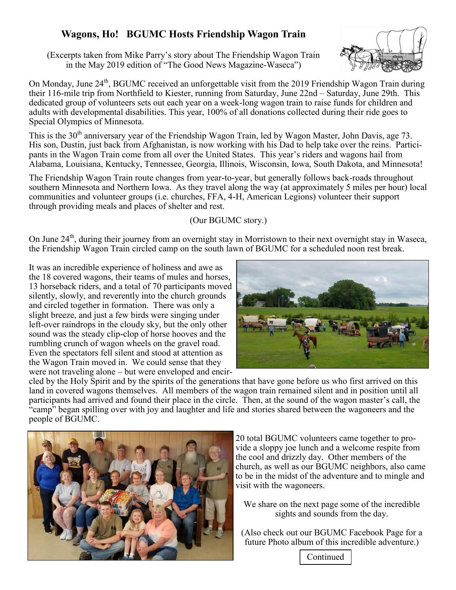## **Wagons, Ho! BGUMC Hosts Friendship Wagon Train**

(Excerpts taken from Mike Parry's story about The Friendship Wagon Train in the May 2019 edition of "The Good News Magazine-Waseca")

On Monday, June  $24<sup>th</sup>$ , BGUMC received an unforgettable visit from the 2019 Friendship Wagon Train during their 116-mile trip from Northfield to Kiester, running from Saturda\, June 22nd ± Saturda\, June 29th. This dedicated group of volunteers sets out each year on a week-long wagon train to raise funds for children and adults with developmental disabilities. This year, 100% of all donations collected during their ride goes to Special Olympics of Minnesota.

This is the 30<sup>th</sup> anniversary year of the Friendship Wagon Train, led by Wagon Master, John Davis, age 73. His son, Dustin, just back from Afghanistan, is now working with his Dad to help take over the reins. Participants in the Wagon Train come from all over the United States. This year's riders and wagons hail from Alabama, Louisiana, Kentucky, Tennessee, Georgia, Illinois, Wisconsin, Iowa, South Dakota, and Minnesota!

The Friendship Wagon Train route changes from year-to-year, but generally follows back-roads throughout southern Minnesota and Northern Iowa. As they travel along the way (at approximately 5 miles per hour) local communities and volunteer groups (i.e. churches, FFA, 4-H, American Legions) volunteer their support through providing meals and places of shelter and rest.

## (Our BGUMC story.)

On June  $24<sup>th</sup>$ , during their journey from an overnight stay in Morristown to their next overnight stay in Waseca, the Friendship Wagon Train circled camp on the south lawn of BGUMC for a scheduled noon rest break.

It was an incredible experience of holiness and awe as the 18 covered wagons, their teams of mules and horses, 13 horseback riders, and a total of 70 participants moved silently, slowly, and reverently into the church grounds and circled together in formation. There was only a slight breeze, and just a few birds were singing under left-over raindrops in the cloudy sky, but the only other sound was the steady clip-clop of horse hooves and the rumbling crunch of wagon wheels on the gravel road. Even the spectators fell silent and stood at attention as the Wagon Train moved in. We could sense that they were not traveling alone - but were enveloped and encir-



cled by the Holy Spirit and by the spirits of the generations that have gone before us who first arrived on this land in covered wagons themselves. All members of the wagon train remained silent and in position until all participants had arrived and found their place in the circle. Then, at the sound of the wagon master's call, the "camp" began spilling over with joy and laughter and life and stories shared between the wagoneers and the people of BGUMC.



20 total BGUMC volunteers came together to provide a sloppy joe lunch and a welcome respite from the cool and drizzly day. Other members of the church, as well as our BGUMC neighbors, also came to be in the midst of the adventure and to mingle and visit with the wagoneers.

We share on the next page some of the incredible sights and sounds from the day.

(Also check out our BGUMC Facebook Page for a future Photo album of this incredible adventure.)

Continued